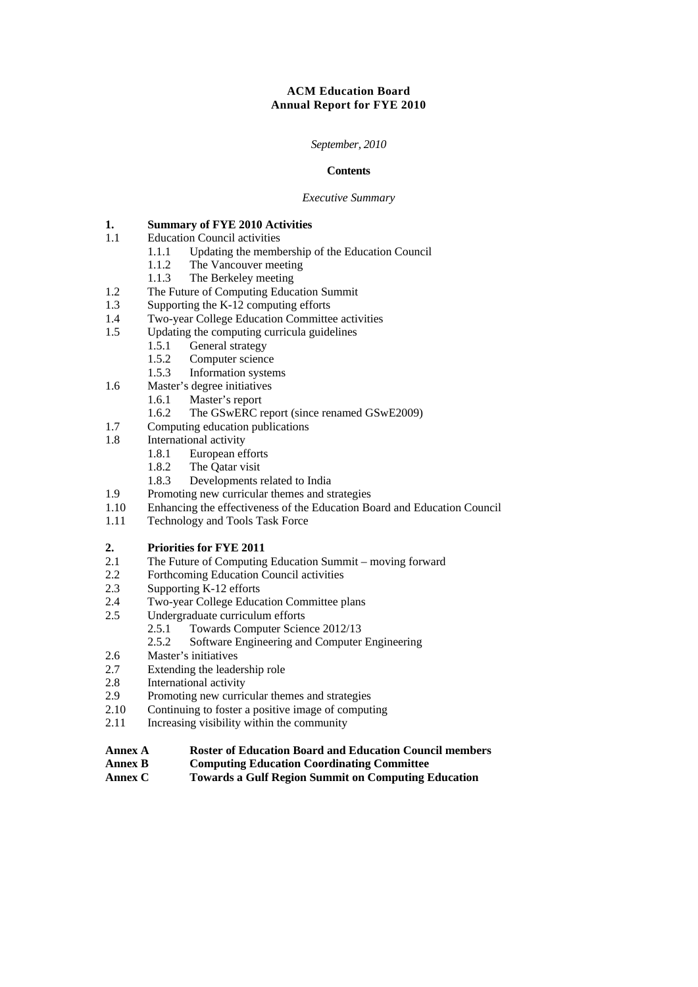# **ACM Education Board Annual Report for FYE 2010**

## *September, 2010*

#### **Contents**

#### *Executive Summary*

# **1. 1. 1.1 1.1 Education Council activities**

- **Education Council activities** 
	- 1.1.1 Updating the membership of the Education Council<br>1.1.2 The Vancouver meeting
	- 1.1.2 The Vancouver meeting<br>1 1 3 The Berkeley meeting
	- The Berkeley meeting
- 1.2 The Future of Computing Education Summit
- 1.3 Supporting the K-12 computing efforts
- 1.4 Two-year College Education Committee activities
- 1.5 Updating the computing curricula guidelines
	- 1.5.1 General strategy
	- 1.5.2 Computer science
	- 1.5.3 Information systems
- 1.6 Master's degree initiatives
	- 1.6.1 Master's report
	- 1.6.2 The GSwERC report (since renamed GSwE2009)
- 1.7 Computing education publications
- 1.8 International activity
	- 1.8.1 European efforts
	- 1.8.2 The Qatar visit
	- 1.8.3 Developments related to India
- 1.9 Promoting new curricular themes and strategies
- 1.10 Enhancing the effectiveness of the Education Board and Education Council
- 1.11 Technology and Tools Task Force

# 2. **Priorities for FYE 2011**<br>2.1 The Future of Computing

- The Future of Computing Education Summit moving forward
- 2.2 Forthcoming Education Council activities
- 2.3 Supporting K-12 efforts
- 2.4 Two-year College Education Committee plans
- 2.5 Undergraduate curriculum efforts
	- 2.5.1 Towards Computer Science 2012/13
	- 2.5.2 Software Engineering and Computer Engineering
- 2.6 Master's initiatives
- 2.7 Extending the leadership role
- 2.8 International activity
- 2.9 Promoting new curricular themes and strategies
- 2.10 Continuing to foster a positive image of computing
- 2.11 Increasing visibility within the community
- **Annex A Roster of Education Board and Education Council members**
- **Annex B Computing Education Coordinating Committee**
- **Annex C Towards a Gulf Region Summit on Computing Education**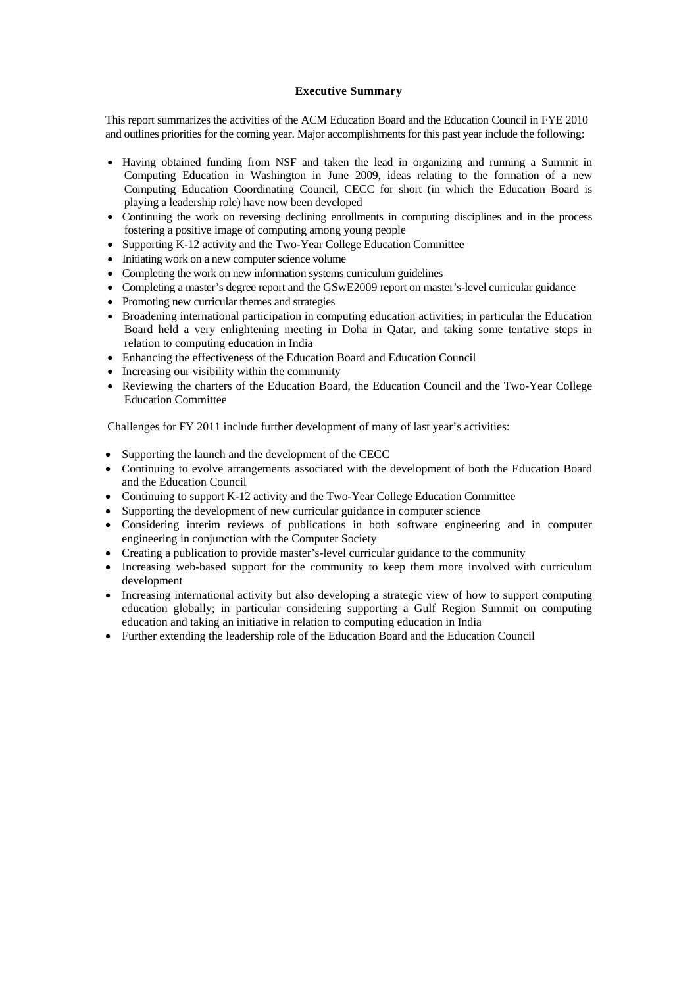## **Executive Summary**

This report summarizes the activities of the ACM Education Board and the Education Council in FYE 2010 and outlines priorities for the coming year. Major accomplishments for this past year include the following:

- Having obtained funding from NSF and taken the lead in organizing and running a Summit in Computing Education in Washington in June 2009, ideas relating to the formation of a new Computing Education Coordinating Council, CECC for short (in which the Education Board is playing a leadership role) have now been developed
- Continuing the work on reversing declining enrollments in computing disciplines and in the process fostering a positive image of computing among young people
- Supporting K-12 activity and the Two-Year College Education Committee
- Initiating work on a new computer science volume
- Completing the work on new information systems curriculum guidelines
- Completing a master's degree report and the GSwE2009 report on master's-level curricular guidance
- Promoting new curricular themes and strategies
- Broadening international participation in computing education activities; in particular the Education Board held a very enlightening meeting in Doha in Qatar, and taking some tentative steps in relation to computing education in India
- Enhancing the effectiveness of the Education Board and Education Council
- Increasing our visibility within the community
- Reviewing the charters of the Education Board, the Education Council and the Two-Year College Education Committee

Challenges for FY 2011 include further development of many of last year's activities:

- Supporting the launch and the development of the CECC
- Continuing to evolve arrangements associated with the development of both the Education Board and the Education Council
- Continuing to support K-12 activity and the Two-Year College Education Committee
- Supporting the development of new curricular guidance in computer science
- Considering interim reviews of publications in both software engineering and in computer engineering in conjunction with the Computer Society
- Creating a publication to provide master's-level curricular guidance to the community
- Increasing web-based support for the community to keep them more involved with curriculum development
- Increasing international activity but also developing a strategic view of how to support computing education globally; in particular considering supporting a Gulf Region Summit on computing education and taking an initiative in relation to computing education in India
- Further extending the leadership role of the Education Board and the Education Council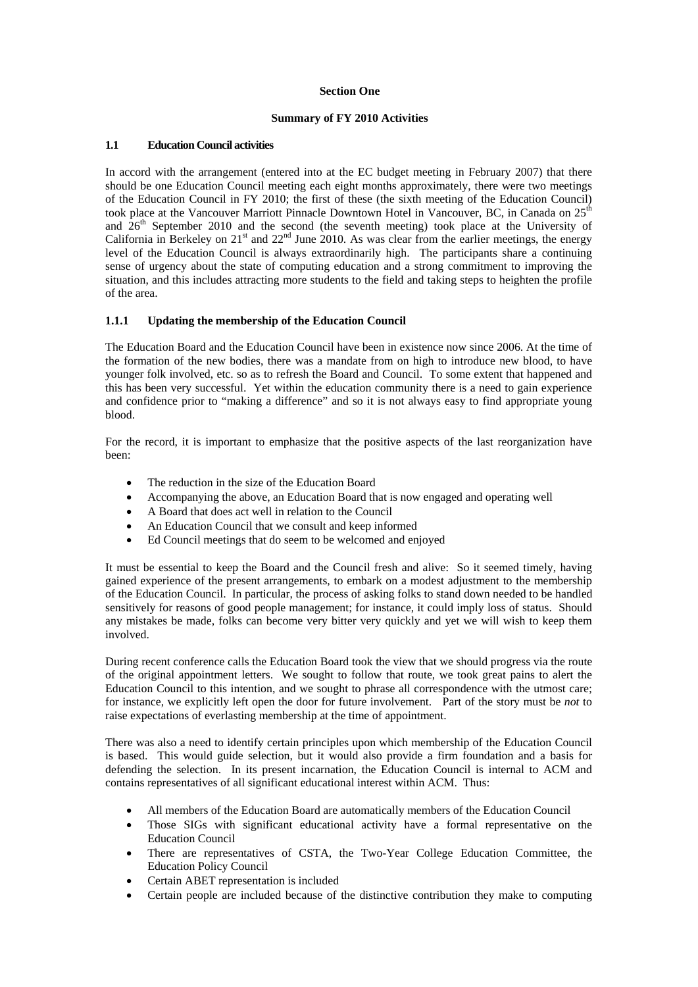## **Section One**

## **Summary of FY 2010 Activities**

## **1.1 Education Council activities**

In accord with the arrangement (entered into at the EC budget meeting in February 2007) that there should be one Education Council meeting each eight months approximately, there were two meetings of the Education Council in FY 2010; the first of these (the sixth meeting of the Education Council) took place at the Vancouver Marriott Pinnacle Downtown Hotel in Vancouver, BC, in Canada on 25<sup>th</sup> and  $26<sup>th</sup>$  September 2010 and the second (the seventh meeting) took place at the University of California in Berkeley on  $21<sup>st</sup>$  and  $22<sup>nd</sup>$  June 2010. As was clear from the earlier meetings, the energy level of the Education Council is always extraordinarily high. The participants share a continuing sense of urgency about the state of computing education and a strong commitment to improving the situation, and this includes attracting more students to the field and taking steps to heighten the profile of the area.

## **1.1.1 Updating the membership of the Education Council**

The Education Board and the Education Council have been in existence now since 2006. At the time of the formation of the new bodies, there was a mandate from on high to introduce new blood, to have younger folk involved, etc. so as to refresh the Board and Council. To some extent that happened and this has been very successful. Yet within the education community there is a need to gain experience and confidence prior to "making a difference" and so it is not always easy to find appropriate young blood.

For the record, it is important to emphasize that the positive aspects of the last reorganization have been:

- The reduction in the size of the Education Board
- Accompanying the above, an Education Board that is now engaged and operating well
- A Board that does act well in relation to the Council
- An Education Council that we consult and keep informed
- Ed Council meetings that do seem to be welcomed and enjoyed

It must be essential to keep the Board and the Council fresh and alive: So it seemed timely, having gained experience of the present arrangements, to embark on a modest adjustment to the membership of the Education Council. In particular, the process of asking folks to stand down needed to be handled sensitively for reasons of good people management; for instance, it could imply loss of status. Should any mistakes be made, folks can become very bitter very quickly and yet we will wish to keep them involved.

During recent conference calls the Education Board took the view that we should progress via the route of the original appointment letters. We sought to follow that route, we took great pains to alert the Education Council to this intention, and we sought to phrase all correspondence with the utmost care; for instance, we explicitly left open the door for future involvement. Part of the story must be *not* to raise expectations of everlasting membership at the time of appointment.

There was also a need to identify certain principles upon which membership of the Education Council is based. This would guide selection, but it would also provide a firm foundation and a basis for defending the selection. In its present incarnation, the Education Council is internal to ACM and contains representatives of all significant educational interest within ACM. Thus:

- All members of the Education Board are automatically members of the Education Council
- Those SIGs with significant educational activity have a formal representative on the Education Council
- There are representatives of CSTA, the Two-Year College Education Committee, the Education Policy Council
- Certain ABET representation is included
- Certain people are included because of the distinctive contribution they make to computing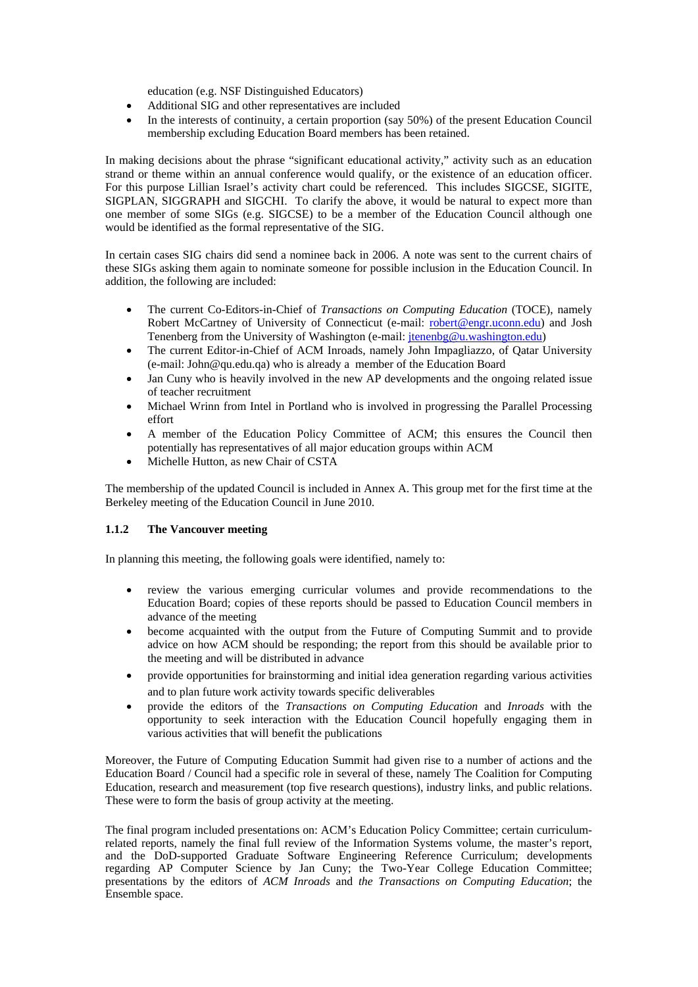education (e.g. NSF Distinguished Educators)

- Additional SIG and other representatives are included
- In the interests of continuity, a certain proportion (say 50%) of the present Education Council membership excluding Education Board members has been retained.

In making decisions about the phrase "significant educational activity," activity such as an education strand or theme within an annual conference would qualify, or the existence of an education officer. For this purpose Lillian Israel's activity chart could be referenced. This includes SIGCSE, SIGITE, SIGPLAN, SIGGRAPH and SIGCHI. To clarify the above, it would be natural to expect more than one member of some SIGs (e.g. SIGCSE) to be a member of the Education Council although one would be identified as the formal representative of the SIG.

In certain cases SIG chairs did send a nominee back in 2006. A note was sent to the current chairs of these SIGs asking them again to nominate someone for possible inclusion in the Education Council. In addition, the following are included:

- The current Co-Editors-in-Chief of *Transactions on Computing Education* (TOCE), namely Robert McCartney of University of Connecticut (e-mail: robert@engr.uconn.edu) and Josh Tenenberg from the University of Washington (e-mail: jtenenbg@u.washington.edu)
- The current Editor-in-Chief of ACM Inroads, namely John Impagliazzo, of Qatar University (e-mail: John@qu.edu.qa) who is already a member of the Education Board
- Jan Cuny who is heavily involved in the new AP developments and the ongoing related issue of teacher recruitment
- Michael Wrinn from Intel in Portland who is involved in progressing the Parallel Processing effort
- A member of the Education Policy Committee of ACM; this ensures the Council then potentially has representatives of all major education groups within ACM
- Michelle Hutton, as new Chair of CSTA

The membership of the updated Council is included in Annex A. This group met for the first time at the Berkeley meeting of the Education Council in June 2010.

## **1.1.2 The Vancouver meeting**

In planning this meeting, the following goals were identified, namely to:

- review the various emerging curricular volumes and provide recommendations to the Education Board; copies of these reports should be passed to Education Council members in advance of the meeting
- become acquainted with the output from the Future of Computing Summit and to provide advice on how ACM should be responding; the report from this should be available prior to the meeting and will be distributed in advance
- provide opportunities for brainstorming and initial idea generation regarding various activities and to plan future work activity towards specific deliverables
- provide the editors of the *Transactions on Computing Education* and *Inroads* with the opportunity to seek interaction with the Education Council hopefully engaging them in various activities that will benefit the publications

Moreover, the Future of Computing Education Summit had given rise to a number of actions and the Education Board / Council had a specific role in several of these, namely The Coalition for Computing Education, research and measurement (top five research questions), industry links, and public relations. These were to form the basis of group activity at the meeting.

The final program included presentations on: ACM's Education Policy Committee; certain curriculumrelated reports, namely the final full review of the Information Systems volume, the master's report, and the DoD-supported Graduate Software Engineering Reference Curriculum; developments regarding AP Computer Science by Jan Cuny; the Two-Year College Education Committee; presentations by the editors of *ACM Inroads* and *the Transactions on Computing Education*; the Ensemble space.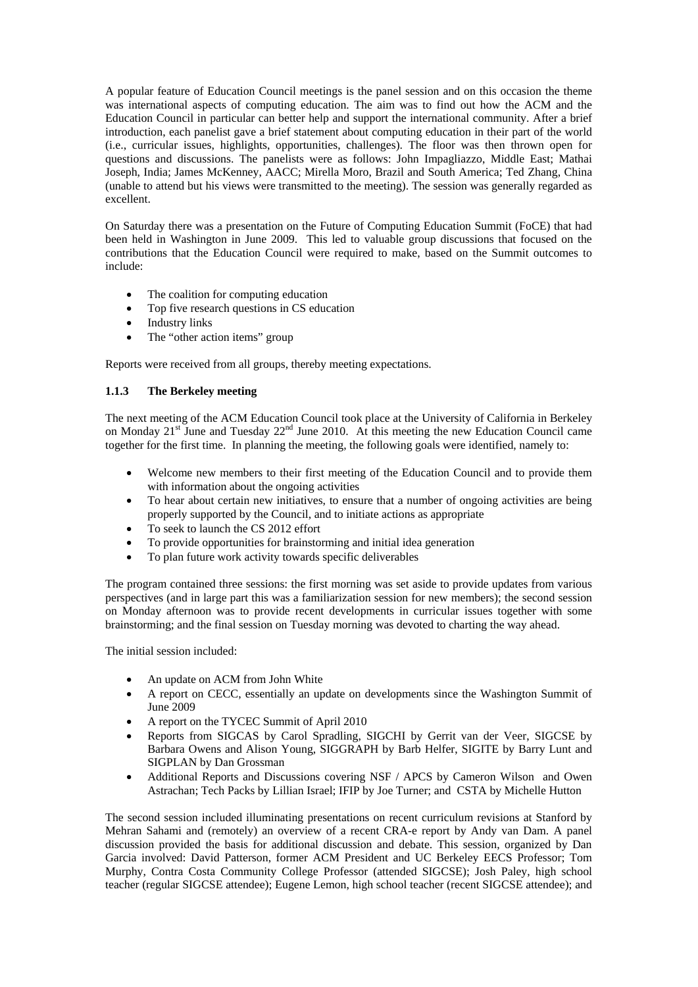A popular feature of Education Council meetings is the panel session and on this occasion the theme was international aspects of computing education. The aim was to find out how the ACM and the Education Council in particular can better help and support the international community. After a brief introduction, each panelist gave a brief statement about computing education in their part of the world (i.e., curricular issues, highlights, opportunities, challenges). The floor was then thrown open for questions and discussions. The panelists were as follows: John Impagliazzo, Middle East; Mathai Joseph, India; James McKenney, AACC; Mirella Moro, Brazil and South America; Ted Zhang, China (unable to attend but his views were transmitted to the meeting). The session was generally regarded as excellent.

On Saturday there was a presentation on the Future of Computing Education Summit (FoCE) that had been held in Washington in June 2009. This led to valuable group discussions that focused on the contributions that the Education Council were required to make, based on the Summit outcomes to include:

- The coalition for computing education
- Top five research questions in CS education
- Industry links
- The "other action items" group

Reports were received from all groups, thereby meeting expectations.

# **1.1.3 The Berkeley meeting**

The next meeting of the ACM Education Council took place at the University of California in Berkeley on Monday  $21^{st}$  June and Tuesday  $22^{nd}$  June 2010. At this meeting the new Education Council came together for the first time. In planning the meeting, the following goals were identified, namely to:

- Welcome new members to their first meeting of the Education Council and to provide them with information about the ongoing activities
- To hear about certain new initiatives, to ensure that a number of ongoing activities are being properly supported by the Council, and to initiate actions as appropriate
- To seek to launch the CS 2012 effort
- To provide opportunities for brainstorming and initial idea generation
- To plan future work activity towards specific deliverables

The program contained three sessions: the first morning was set aside to provide updates from various perspectives (and in large part this was a familiarization session for new members); the second session on Monday afternoon was to provide recent developments in curricular issues together with some brainstorming; and the final session on Tuesday morning was devoted to charting the way ahead.

The initial session included:

- An update on ACM from John White
- A report on CECC, essentially an update on developments since the Washington Summit of June 2009
- A report on the TYCEC Summit of April 2010
- Reports from SIGCAS by Carol Spradling, SIGCHI by Gerrit van der Veer, SIGCSE by Barbara Owens and Alison Young, SIGGRAPH by Barb Helfer, SIGITE by Barry Lunt and SIGPLAN by Dan Grossman
- Additional Reports and Discussions covering NSF / APCS by Cameron Wilson and Owen Astrachan; Tech Packs by Lillian Israel; IFIP by Joe Turner; and CSTA by Michelle Hutton

The second session included illuminating presentations on recent curriculum revisions at Stanford by Mehran Sahami and (remotely) an overview of a recent CRA-e report by Andy van Dam. A panel discussion provided the basis for additional discussion and debate. This session, organized by Dan Garcia involved: David Patterson, former ACM President and UC Berkeley EECS Professor; Tom Murphy, Contra Costa Community College Professor (attended SIGCSE); Josh Paley, high school teacher (regular SIGCSE attendee); Eugene Lemon, high school teacher (recent SIGCSE attendee); and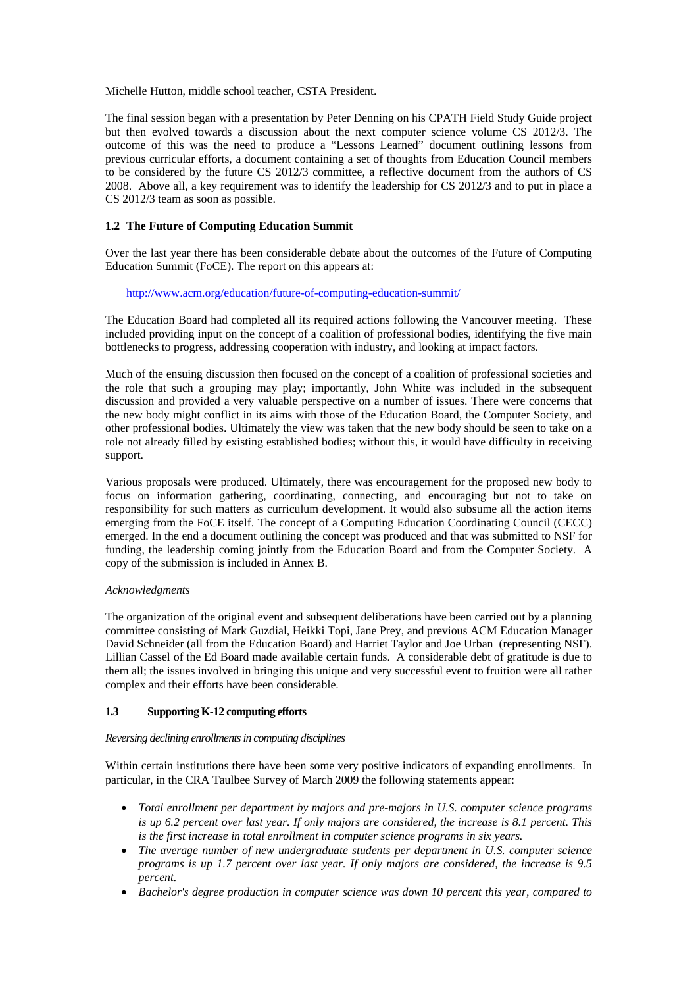Michelle Hutton, middle school teacher, CSTA President.

The final session began with a presentation by Peter Denning on his CPATH Field Study Guide project but then evolved towards a discussion about the next computer science volume CS 2012/3. The outcome of this was the need to produce a "Lessons Learned" document outlining lessons from previous curricular efforts, a document containing a set of thoughts from Education Council members to be considered by the future CS 2012/3 committee, a reflective document from the authors of CS 2008. Above all, a key requirement was to identify the leadership for CS 2012/3 and to put in place a CS 2012/3 team as soon as possible.

## **1.2 The Future of Computing Education Summit**

Over the last year there has been considerable debate about the outcomes of the Future of Computing Education Summit (FoCE). The report on this appears at:

#### http://www.acm.org/education/future-of-computing-education-summit/

The Education Board had completed all its required actions following the Vancouver meeting. These included providing input on the concept of a coalition of professional bodies, identifying the five main bottlenecks to progress, addressing cooperation with industry, and looking at impact factors.

Much of the ensuing discussion then focused on the concept of a coalition of professional societies and the role that such a grouping may play; importantly, John White was included in the subsequent discussion and provided a very valuable perspective on a number of issues. There were concerns that the new body might conflict in its aims with those of the Education Board, the Computer Society, and other professional bodies. Ultimately the view was taken that the new body should be seen to take on a role not already filled by existing established bodies; without this, it would have difficulty in receiving support.

Various proposals were produced. Ultimately, there was encouragement for the proposed new body to focus on information gathering, coordinating, connecting, and encouraging but not to take on responsibility for such matters as curriculum development. It would also subsume all the action items emerging from the FoCE itself. The concept of a Computing Education Coordinating Council (CECC) emerged. In the end a document outlining the concept was produced and that was submitted to NSF for funding, the leadership coming jointly from the Education Board and from the Computer Society. A copy of the submission is included in Annex B.

## *Acknowledgments*

The organization of the original event and subsequent deliberations have been carried out by a planning committee consisting of Mark Guzdial, Heikki Topi, Jane Prey, and previous ACM Education Manager David Schneider (all from the Education Board) and Harriet Taylor and Joe Urban (representing NSF). Lillian Cassel of the Ed Board made available certain funds. A considerable debt of gratitude is due to them all; the issues involved in bringing this unique and very successful event to fruition were all rather complex and their efforts have been considerable.

## **1.3 Supporting K-12 computing efforts**

#### *Reversing declining enrollments in computing disciplines*

Within certain institutions there have been some very positive indicators of expanding enrollments. In particular, in the CRA Taulbee Survey of March 2009 the following statements appear:

- *Total enrollment per department by majors and pre-majors in U.S. computer science programs is up 6.2 percent over last year. If only majors are considered, the increase is 8.1 percent. This is the first increase in total enrollment in computer science programs in six years.*
- *The average number of new undergraduate students per department in U.S. computer science programs is up 1.7 percent over last year. If only majors are considered, the increase is 9.5 percent.*
- *Bachelor's degree production in computer science was down 10 percent this year, compared to*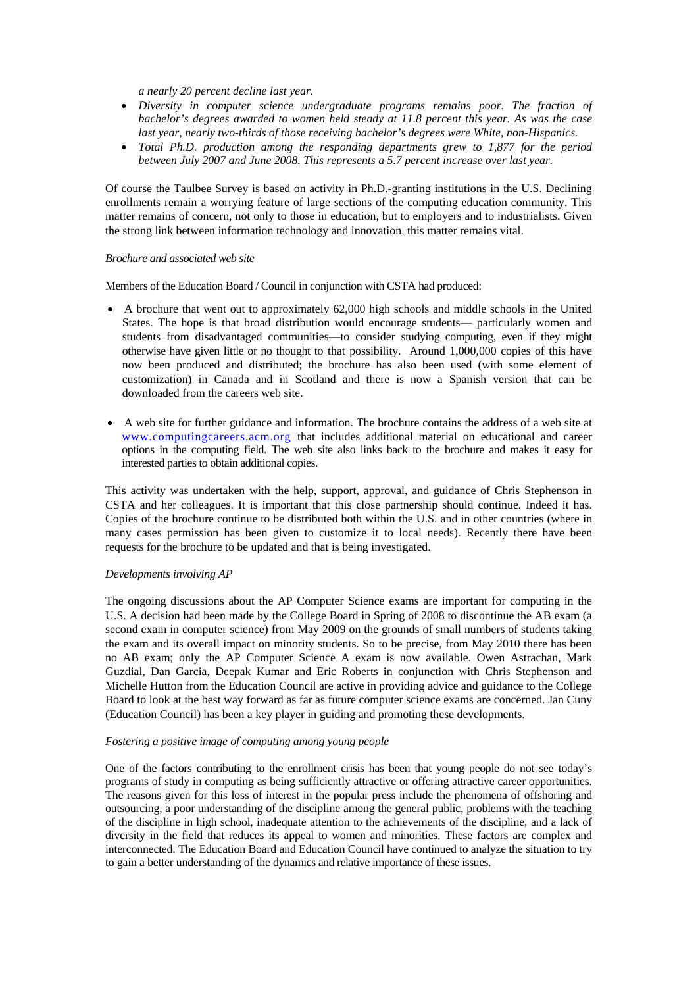*a nearly 20 percent decline last year.* 

- *Diversity in computer science undergraduate programs remains poor. The fraction of bachelor's degrees awarded to women held steady at 11.8 percent this year. As was the case last year, nearly two-thirds of those receiving bachelor's degrees were White, non-Hispanics.*
- *Total Ph.D. production among the responding departments grew to 1,877 for the period between July 2007 and June 2008. This represents a 5.7 percent increase over last year.*

Of course the Taulbee Survey is based on activity in Ph.D.-granting institutions in the U.S. Declining enrollments remain a worrying feature of large sections of the computing education community. This matter remains of concern, not only to those in education, but to employers and to industrialists. Given the strong link between information technology and innovation, this matter remains vital.

#### *Brochure and associated web site*

Members of the Education Board / Council in conjunction with CSTA had produced:

- A brochure that went out to approximately 62,000 high schools and middle schools in the United States. The hope is that broad distribution would encourage students— particularly women and students from disadvantaged communities—to consider studying computing, even if they might otherwise have given little or no thought to that possibility. Around 1,000,000 copies of this have now been produced and distributed; the brochure has also been used (with some element of customization) in Canada and in Scotland and there is now a Spanish version that can be downloaded from the careers web site.
- A web site for further guidance and information. The brochure contains the address of a web site at www.computingcareers.acm.org that includes additional material on educational and career options in the computing field. The web site also links back to the brochure and makes it easy for interested parties to obtain additional copies.

This activity was undertaken with the help, support, approval, and guidance of Chris Stephenson in CSTA and her colleagues. It is important that this close partnership should continue. Indeed it has. Copies of the brochure continue to be distributed both within the U.S. and in other countries (where in many cases permission has been given to customize it to local needs). Recently there have been requests for the brochure to be updated and that is being investigated.

#### *Developments involving AP*

The ongoing discussions about the AP Computer Science exams are important for computing in the U.S. A decision had been made by the College Board in Spring of 2008 to discontinue the AB exam (a second exam in computer science) from May 2009 on the grounds of small numbers of students taking the exam and its overall impact on minority students. So to be precise, from May 2010 there has been no AB exam; only the AP Computer Science A exam is now available. Owen Astrachan, Mark Guzdial, Dan Garcia, Deepak Kumar and Eric Roberts in conjunction with Chris Stephenson and Michelle Hutton from the Education Council are active in providing advice and guidance to the College Board to look at the best way forward as far as future computer science exams are concerned. Jan Cuny (Education Council) has been a key player in guiding and promoting these developments.

## *Fostering a positive image of computing among young people*

One of the factors contributing to the enrollment crisis has been that young people do not see today's programs of study in computing as being sufficiently attractive or offering attractive career opportunities. The reasons given for this loss of interest in the popular press include the phenomena of offshoring and outsourcing, a poor understanding of the discipline among the general public, problems with the teaching of the discipline in high school, inadequate attention to the achievements of the discipline, and a lack of diversity in the field that reduces its appeal to women and minorities. These factors are complex and interconnected. The Education Board and Education Council have continued to analyze the situation to try to gain a better understanding of the dynamics and relative importance of these issues.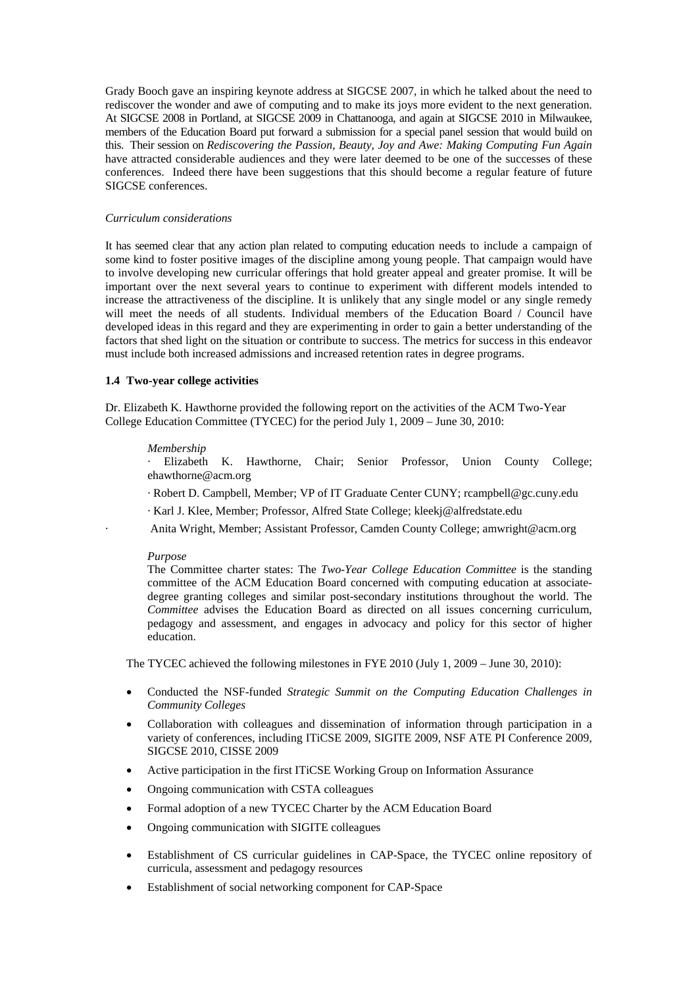Grady Booch gave an inspiring keynote address at SIGCSE 2007, in which he talked about the need to rediscover the wonder and awe of computing and to make its joys more evident to the next generation. At SIGCSE 2008 in Portland, at SIGCSE 2009 in Chattanooga, and again at SIGCSE 2010 in Milwaukee, members of the Education Board put forward a submission for a special panel session that would build on this. Their session on *Rediscovering the Passion, Beauty, Joy and Awe: Making Computing Fun Again* have attracted considerable audiences and they were later deemed to be one of the successes of these conferences. Indeed there have been suggestions that this should become a regular feature of future SIGCSE conferences.

#### *Curriculum considerations*

It has seemed clear that any action plan related to computing education needs to include a campaign of some kind to foster positive images of the discipline among young people. That campaign would have to involve developing new curricular offerings that hold greater appeal and greater promise. It will be important over the next several years to continue to experiment with different models intended to increase the attractiveness of the discipline. It is unlikely that any single model or any single remedy will meet the needs of all students. Individual members of the Education Board / Council have developed ideas in this regard and they are experimenting in order to gain a better understanding of the factors that shed light on the situation or contribute to success. The metrics for success in this endeavor must include both increased admissions and increased retention rates in degree programs.

#### **1.4 Two-year college activities**

Dr. Elizabeth K. Hawthorne provided the following report on the activities of the ACM Two-Year College Education Committee (TYCEC) for the period July 1, 2009 – June 30, 2010:

#### *Membership*

· Elizabeth K. Hawthorne, Chair; Senior Professor, Union County College; ehawthorne@acm.org

- · Robert D. Campbell, Member; VP of IT Graduate Center CUNY; rcampbell@gc.cuny.edu
- · Karl J. Klee, Member; Professor, Alfred State College; kleekj@alfredstate.edu

· Anita Wright, Member; Assistant Professor, Camden County College; amwright@acm.org

#### *Purpose*

The Committee charter states: The *Two-Year College Education Committee* is the standing committee of the ACM Education Board concerned with computing education at associatedegree granting colleges and similar post-secondary institutions throughout the world. The *Committee* advises the Education Board as directed on all issues concerning curriculum, pedagogy and assessment, and engages in advocacy and policy for this sector of higher education.

The TYCEC achieved the following milestones in FYE 2010 (July 1, 2009 – June 30, 2010):

- Conducted the NSF-funded *Strategic Summit on the Computing Education Challenges in Community Colleges*
- Collaboration with colleagues and dissemination of information through participation in a variety of conferences, including ITiCSE 2009, SIGITE 2009, NSF ATE PI Conference 2009, SIGCSE 2010, CISSE 2009
- Active participation in the first ITiCSE Working Group on Information Assurance
- Ongoing communication with CSTA colleagues
- Formal adoption of a new TYCEC Charter by the ACM Education Board
- Ongoing communication with SIGITE colleagues
- Establishment of CS curricular guidelines in CAP-Space, the TYCEC online repository of curricula, assessment and pedagogy resources
- Establishment of social networking component for CAP-Space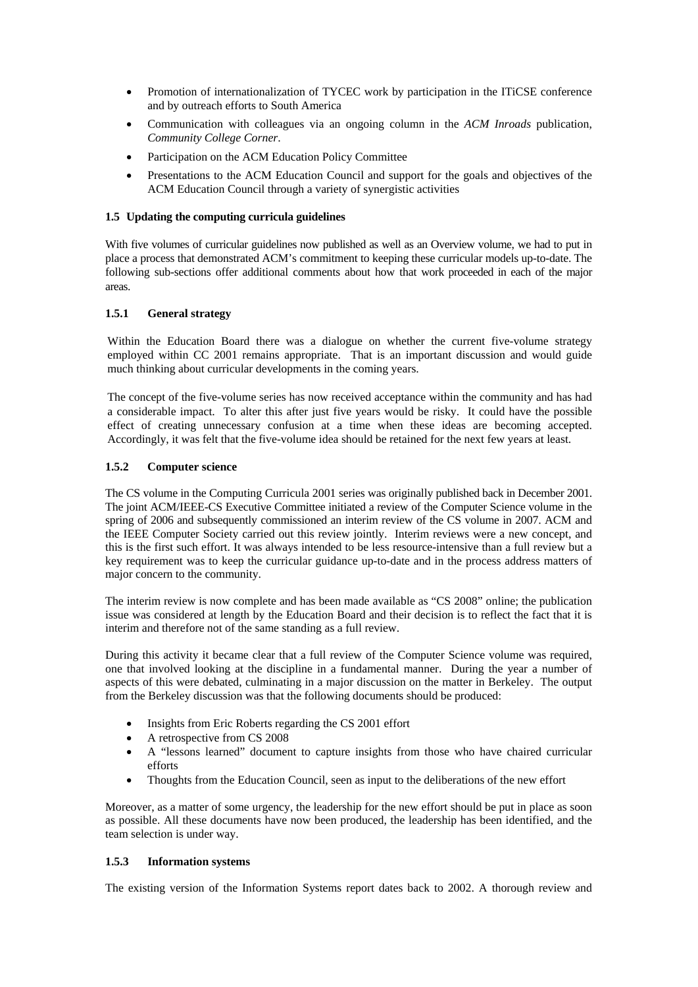- Promotion of internationalization of TYCEC work by participation in the ITiCSE conference and by outreach efforts to South America
- Communication with colleagues via an ongoing column in the *ACM Inroads* publication, *Community College Corner*.
- Participation on the ACM Education Policy Committee
- Presentations to the ACM Education Council and support for the goals and objectives of the ACM Education Council through a variety of synergistic activities

## **1.5 Updating the computing curricula guidelines**

With five volumes of curricular guidelines now published as well as an Overview volume, we had to put in place a process that demonstrated ACM's commitment to keeping these curricular models up-to-date. The following sub-sections offer additional comments about how that work proceeded in each of the major areas.

## **1.5.1 General strategy**

Within the Education Board there was a dialogue on whether the current five-volume strategy employed within CC 2001 remains appropriate. That is an important discussion and would guide much thinking about curricular developments in the coming years.

The concept of the five-volume series has now received acceptance within the community and has had a considerable impact. To alter this after just five years would be risky. It could have the possible effect of creating unnecessary confusion at a time when these ideas are becoming accepted. Accordingly, it was felt that the five-volume idea should be retained for the next few years at least.

## **1.5.2 Computer science**

The CS volume in the Computing Curricula 2001 series was originally published back in December 2001. The joint ACM/IEEE-CS Executive Committee initiated a review of the Computer Science volume in the spring of 2006 and subsequently commissioned an interim review of the CS volume in 2007. ACM and the IEEE Computer Society carried out this review jointly. Interim reviews were a new concept, and this is the first such effort. It was always intended to be less resource-intensive than a full review but a key requirement was to keep the curricular guidance up-to-date and in the process address matters of major concern to the community.

The interim review is now complete and has been made available as "CS 2008" online; the publication issue was considered at length by the Education Board and their decision is to reflect the fact that it is interim and therefore not of the same standing as a full review.

During this activity it became clear that a full review of the Computer Science volume was required, one that involved looking at the discipline in a fundamental manner. During the year a number of aspects of this were debated, culminating in a major discussion on the matter in Berkeley. The output from the Berkeley discussion was that the following documents should be produced:

- Insights from Eric Roberts regarding the CS 2001 effort
- A retrospective from CS 2008
- A "lessons learned" document to capture insights from those who have chaired curricular efforts
- Thoughts from the Education Council, seen as input to the deliberations of the new effort

Moreover, as a matter of some urgency, the leadership for the new effort should be put in place as soon as possible. All these documents have now been produced, the leadership has been identified, and the team selection is under way.

#### **1.5.3 Information systems**

The existing version of the Information Systems report dates back to 2002. A thorough review and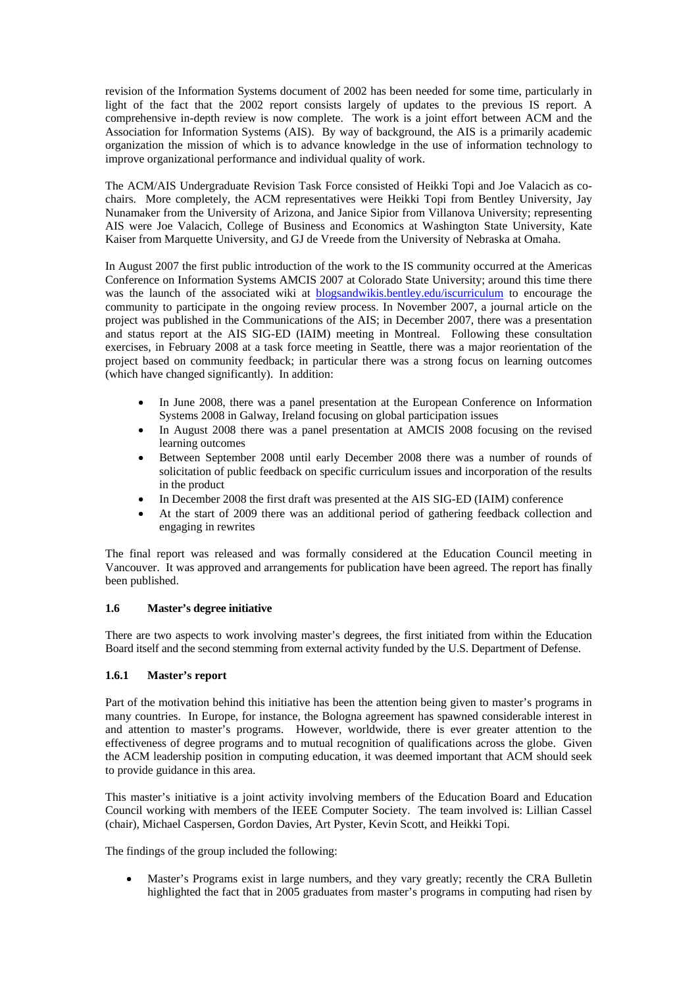revision of the Information Systems document of 2002 has been needed for some time, particularly in light of the fact that the 2002 report consists largely of updates to the previous IS report. A comprehensive in-depth review is now complete. The work is a joint effort between ACM and the Association for Information Systems (AIS). By way of background, the AIS is a primarily academic organization the mission of which is to advance knowledge in the use of information technology to improve organizational performance and individual quality of work.

The ACM/AIS Undergraduate Revision Task Force consisted of Heikki Topi and Joe Valacich as cochairs. More completely, the ACM representatives were Heikki Topi from Bentley University, Jay Nunamaker from the University of Arizona, and Janice Sipior from Villanova University; representing AIS were Joe Valacich, College of Business and Economics at Washington State University, Kate Kaiser from Marquette University, and GJ de Vreede from the University of Nebraska at Omaha.

In August 2007 the first public introduction of the work to the IS community occurred at the Americas Conference on Information Systems AMCIS 2007 at Colorado State University; around this time there was the launch of the associated wiki at blogsandwikis.bentley.edu/iscurriculum to encourage the community to participate in the ongoing review process. In November 2007, a journal article on the project was published in the Communications of the AIS; in December 2007, there was a presentation and status report at the AIS SIG-ED (IAIM) meeting in Montreal. Following these consultation exercises, in February 2008 at a task force meeting in Seattle, there was a major reorientation of the project based on community feedback; in particular there was a strong focus on learning outcomes (which have changed significantly). In addition:

- In June 2008, there was a panel presentation at the European Conference on Information Systems 2008 in Galway, Ireland focusing on global participation issues
- In August 2008 there was a panel presentation at AMCIS 2008 focusing on the revised learning outcomes
- Between September 2008 until early December 2008 there was a number of rounds of solicitation of public feedback on specific curriculum issues and incorporation of the results in the product
- In December 2008 the first draft was presented at the AIS SIG-ED (IAIM) conference
- At the start of 2009 there was an additional period of gathering feedback collection and engaging in rewrites

The final report was released and was formally considered at the Education Council meeting in Vancouver. It was approved and arrangements for publication have been agreed. The report has finally been published.

# **1.6 Master's degree initiative**

There are two aspects to work involving master's degrees, the first initiated from within the Education Board itself and the second stemming from external activity funded by the U.S. Department of Defense.

## **1.6.1 Master's report**

Part of the motivation behind this initiative has been the attention being given to master's programs in many countries. In Europe, for instance, the Bologna agreement has spawned considerable interest in and attention to master's programs. However, worldwide, there is ever greater attention to the effectiveness of degree programs and to mutual recognition of qualifications across the globe. Given the ACM leadership position in computing education, it was deemed important that ACM should seek to provide guidance in this area.

This master's initiative is a joint activity involving members of the Education Board and Education Council working with members of the IEEE Computer Society. The team involved is: Lillian Cassel (chair), Michael Caspersen, Gordon Davies, Art Pyster, Kevin Scott, and Heikki Topi.

The findings of the group included the following:

• Master's Programs exist in large numbers, and they vary greatly; recently the CRA Bulletin highlighted the fact that in 2005 graduates from master's programs in computing had risen by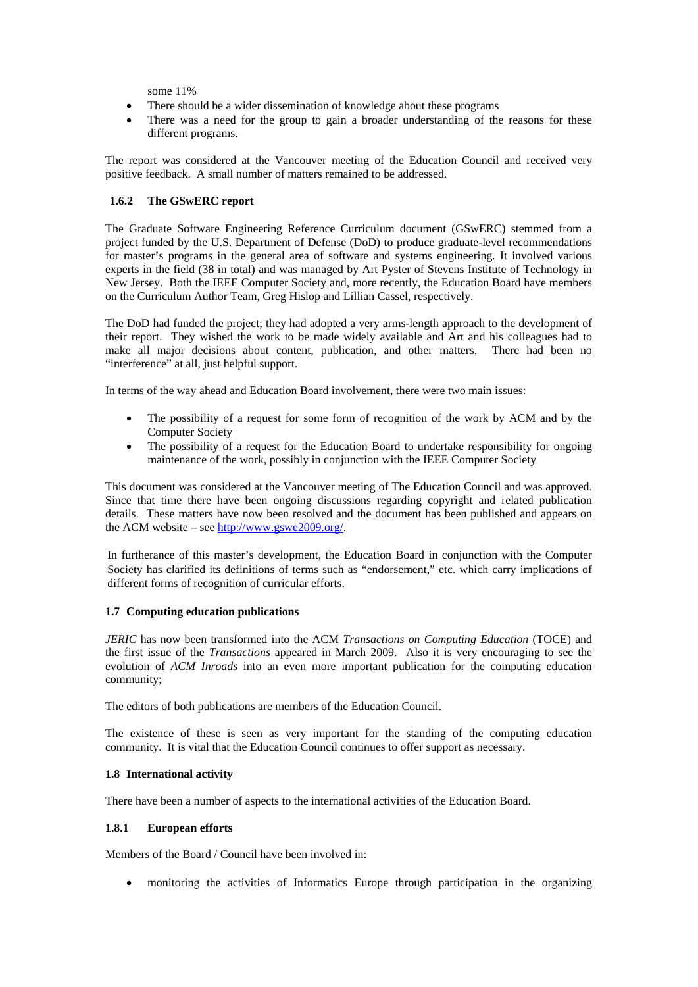some 11%

- There should be a wider dissemination of knowledge about these programs
- There was a need for the group to gain a broader understanding of the reasons for these different programs.

The report was considered at the Vancouver meeting of the Education Council and received very positive feedback. A small number of matters remained to be addressed.

# **1.6.2 The GSwERC report**

The Graduate Software Engineering Reference Curriculum document (GSwERC) stemmed from a project funded by the U.S. Department of Defense (DoD) to produce graduate-level recommendations for master's programs in the general area of software and systems engineering. It involved various experts in the field (38 in total) and was managed by Art Pyster of Stevens Institute of Technology in New Jersey. Both the IEEE Computer Society and, more recently, the Education Board have members on the Curriculum Author Team, Greg Hislop and Lillian Cassel, respectively.

The DoD had funded the project; they had adopted a very arms-length approach to the development of their report. They wished the work to be made widely available and Art and his colleagues had to make all major decisions about content, publication, and other matters. There had been no "interference" at all, just helpful support.

In terms of the way ahead and Education Board involvement, there were two main issues:

- The possibility of a request for some form of recognition of the work by ACM and by the Computer Society
- The possibility of a request for the Education Board to undertake responsibility for ongoing maintenance of the work, possibly in conjunction with the IEEE Computer Society

This document was considered at the Vancouver meeting of The Education Council and was approved. Since that time there have been ongoing discussions regarding copyright and related publication details. These matters have now been resolved and the document has been published and appears on the ACM website – see http://www.gswe2009.org/.

In furtherance of this master's development, the Education Board in conjunction with the Computer Society has clarified its definitions of terms such as "endorsement," etc. which carry implications of different forms of recognition of curricular efforts.

## **1.7 Computing education publications**

*JERIC* has now been transformed into the ACM *Transactions on Computing Education* (TOCE) and the first issue of the *Transactions* appeared in March 2009. Also it is very encouraging to see the evolution of *ACM Inroads* into an even more important publication for the computing education community;

The editors of both publications are members of the Education Council.

The existence of these is seen as very important for the standing of the computing education community. It is vital that the Education Council continues to offer support as necessary.

#### **1.8 International activity**

There have been a number of aspects to the international activities of the Education Board.

## **1.8.1 European efforts**

Members of the Board / Council have been involved in:

• monitoring the activities of Informatics Europe through participation in the organizing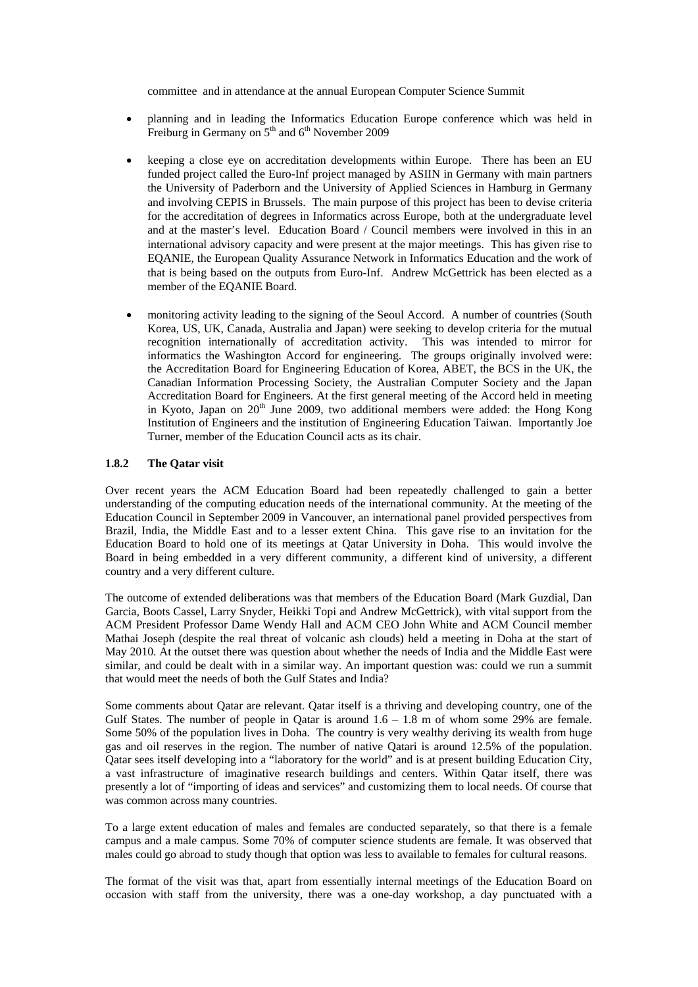committee and in attendance at the annual European Computer Science Summit

- planning and in leading the Informatics Education Europe conference which was held in Freiburg in Germany on  $5<sup>th</sup>$  and  $6<sup>th</sup>$  November 2009
- keeping a close eye on accreditation developments within Europe. There has been an EU funded project called the Euro-Inf project managed by ASIIN in Germany with main partners the University of Paderborn and the University of Applied Sciences in Hamburg in Germany and involving CEPIS in Brussels. The main purpose of this project has been to devise criteria for the accreditation of degrees in Informatics across Europe, both at the undergraduate level and at the master's level. Education Board / Council members were involved in this in an international advisory capacity and were present at the major meetings. This has given rise to EQANIE, the European Quality Assurance Network in Informatics Education and the work of that is being based on the outputs from Euro-Inf. Andrew McGettrick has been elected as a member of the EQANIE Board.
- monitoring activity leading to the signing of the Seoul Accord. A number of countries (South Korea, US, UK, Canada, Australia and Japan) were seeking to develop criteria for the mutual recognition internationally of accreditation activity. This was intended to mirror for informatics the Washington Accord for engineering. The groups originally involved were: the Accreditation Board for Engineering Education of Korea, ABET, the BCS in the UK, the Canadian Information Processing Society, the Australian Computer Society and the Japan Accreditation Board for Engineers. At the first general meeting of the Accord held in meeting in Kyoto, Japan on  $20<sup>th</sup>$  June 2009, two additional members were added: the Hong Kong Institution of Engineers and the institution of Engineering Education Taiwan. Importantly Joe Turner, member of the Education Council acts as its chair.

## **1.8.2 The Qatar visit**

Over recent years the ACM Education Board had been repeatedly challenged to gain a better understanding of the computing education needs of the international community. At the meeting of the Education Council in September 2009 in Vancouver, an international panel provided perspectives from Brazil, India, the Middle East and to a lesser extent China. This gave rise to an invitation for the Education Board to hold one of its meetings at Qatar University in Doha. This would involve the Board in being embedded in a very different community, a different kind of university, a different country and a very different culture.

The outcome of extended deliberations was that members of the Education Board (Mark Guzdial, Dan Garcia, Boots Cassel, Larry Snyder, Heikki Topi and Andrew McGettrick), with vital support from the ACM President Professor Dame Wendy Hall and ACM CEO John White and ACM Council member Mathai Joseph (despite the real threat of volcanic ash clouds) held a meeting in Doha at the start of May 2010. At the outset there was question about whether the needs of India and the Middle East were similar, and could be dealt with in a similar way. An important question was: could we run a summit that would meet the needs of both the Gulf States and India?

Some comments about Qatar are relevant. Qatar itself is a thriving and developing country, one of the Gulf States. The number of people in Qatar is around  $1.6 - 1.8$  m of whom some 29% are female. Some 50% of the population lives in Doha. The country is very wealthy deriving its wealth from huge gas and oil reserves in the region. The number of native Qatari is around 12.5% of the population. Qatar sees itself developing into a "laboratory for the world" and is at present building Education City, a vast infrastructure of imaginative research buildings and centers. Within Qatar itself, there was presently a lot of "importing of ideas and services" and customizing them to local needs. Of course that was common across many countries.

To a large extent education of males and females are conducted separately, so that there is a female campus and a male campus. Some 70% of computer science students are female. It was observed that males could go abroad to study though that option was less to available to females for cultural reasons.

The format of the visit was that, apart from essentially internal meetings of the Education Board on occasion with staff from the university, there was a one-day workshop, a day punctuated with a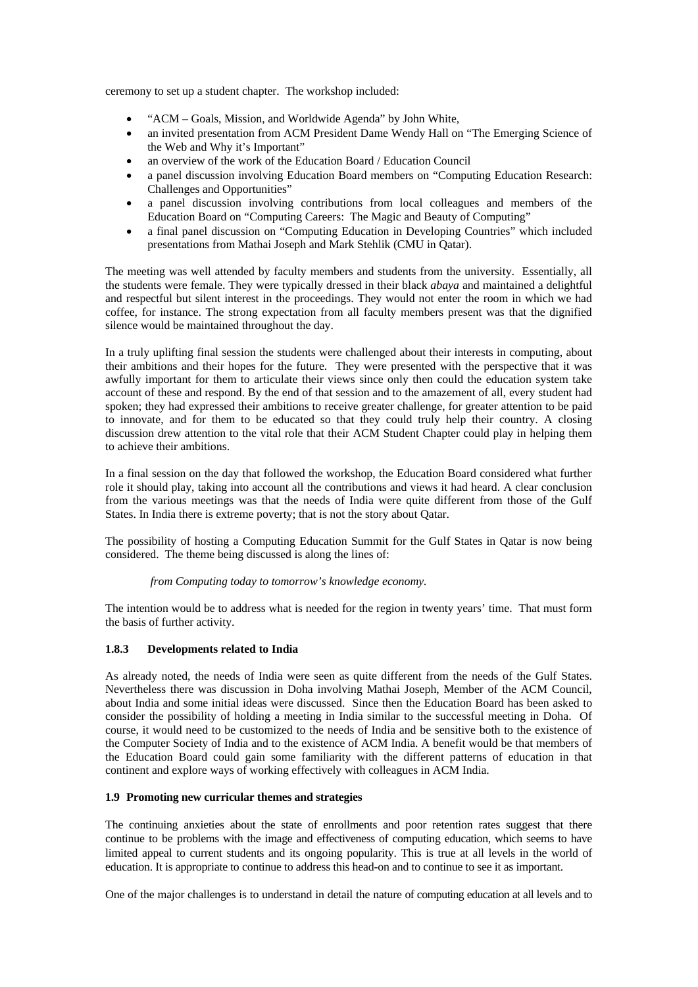ceremony to set up a student chapter. The workshop included:

- "ACM Goals, Mission, and Worldwide Agenda" by John White,
- an invited presentation from ACM President Dame Wendy Hall on "The Emerging Science of the Web and Why it's Important"
- an overview of the work of the Education Board / Education Council
- a panel discussion involving Education Board members on "Computing Education Research: Challenges and Opportunities"
- a panel discussion involving contributions from local colleagues and members of the Education Board on "Computing Careers: The Magic and Beauty of Computing"
- a final panel discussion on "Computing Education in Developing Countries" which included presentations from Mathai Joseph and Mark Stehlik (CMU in Qatar).

The meeting was well attended by faculty members and students from the university. Essentially, all the students were female. They were typically dressed in their black *abaya* and maintained a delightful and respectful but silent interest in the proceedings. They would not enter the room in which we had coffee, for instance. The strong expectation from all faculty members present was that the dignified silence would be maintained throughout the day.

In a truly uplifting final session the students were challenged about their interests in computing, about their ambitions and their hopes for the future. They were presented with the perspective that it was awfully important for them to articulate their views since only then could the education system take account of these and respond. By the end of that session and to the amazement of all, every student had spoken; they had expressed their ambitions to receive greater challenge, for greater attention to be paid to innovate, and for them to be educated so that they could truly help their country. A closing discussion drew attention to the vital role that their ACM Student Chapter could play in helping them to achieve their ambitions.

In a final session on the day that followed the workshop, the Education Board considered what further role it should play, taking into account all the contributions and views it had heard. A clear conclusion from the various meetings was that the needs of India were quite different from those of the Gulf States. In India there is extreme poverty; that is not the story about Qatar.

The possibility of hosting a Computing Education Summit for the Gulf States in Qatar is now being considered. The theme being discussed is along the lines of:

## *from Computing today to tomorrow's knowledge economy.*

The intention would be to address what is needed for the region in twenty years' time. That must form the basis of further activity.

## **1.8.3 Developments related to India**

As already noted, the needs of India were seen as quite different from the needs of the Gulf States. Nevertheless there was discussion in Doha involving Mathai Joseph, Member of the ACM Council, about India and some initial ideas were discussed. Since then the Education Board has been asked to consider the possibility of holding a meeting in India similar to the successful meeting in Doha. Of course, it would need to be customized to the needs of India and be sensitive both to the existence of the Computer Society of India and to the existence of ACM India. A benefit would be that members of the Education Board could gain some familiarity with the different patterns of education in that continent and explore ways of working effectively with colleagues in ACM India.

## **1.9 Promoting new curricular themes and strategies**

The continuing anxieties about the state of enrollments and poor retention rates suggest that there continue to be problems with the image and effectiveness of computing education, which seems to have limited appeal to current students and its ongoing popularity. This is true at all levels in the world of education. It is appropriate to continue to address this head-on and to continue to see it as important.

One of the major challenges is to understand in detail the nature of computing education at all levels and to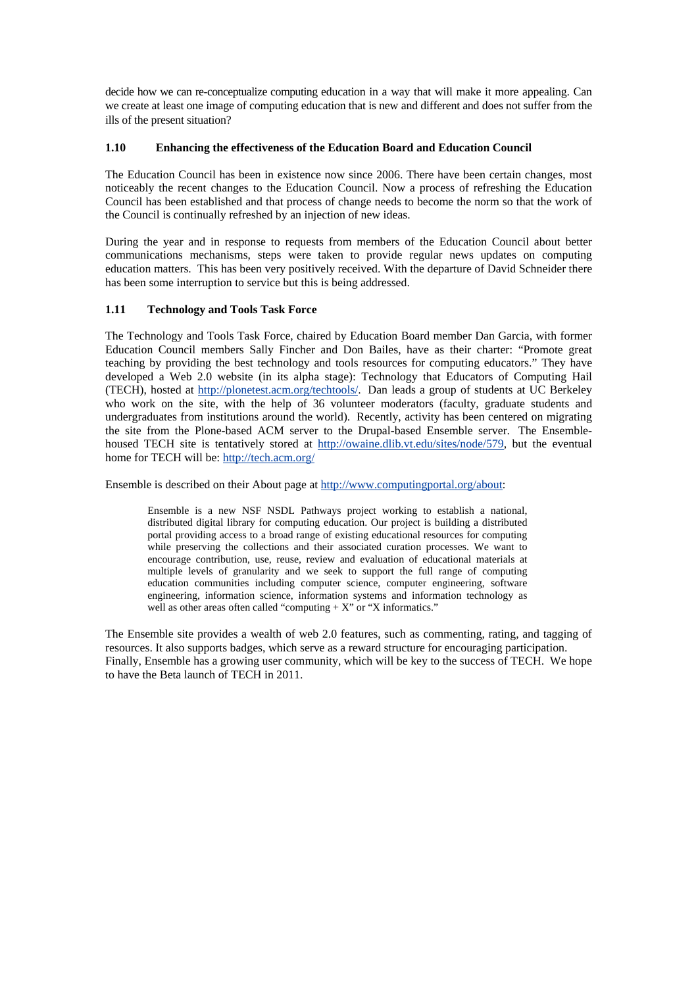decide how we can re-conceptualize computing education in a way that will make it more appealing. Can we create at least one image of computing education that is new and different and does not suffer from the ills of the present situation?

# **1.10 Enhancing the effectiveness of the Education Board and Education Council**

The Education Council has been in existence now since 2006. There have been certain changes, most noticeably the recent changes to the Education Council. Now a process of refreshing the Education Council has been established and that process of change needs to become the norm so that the work of the Council is continually refreshed by an injection of new ideas.

During the year and in response to requests from members of the Education Council about better communications mechanisms, steps were taken to provide regular news updates on computing education matters. This has been very positively received. With the departure of David Schneider there has been some interruption to service but this is being addressed.

# **1.11 Technology and Tools Task Force**

The Technology and Tools Task Force, chaired by Education Board member Dan Garcia, with former Education Council members Sally Fincher and Don Bailes, have as their charter: "Promote great teaching by providing the best technology and tools resources for computing educators." They have developed a Web 2.0 website (in its alpha stage): Technology that Educators of Computing Hail (TECH), hosted at http://plonetest.acm.org/techtools/. Dan leads a group of students at UC Berkeley who work on the site, with the help of 36 volunteer moderators (faculty, graduate students and undergraduates from institutions around the world). Recently, activity has been centered on migrating the site from the Plone-based ACM server to the Drupal-based Ensemble server. The Ensemblehoused TECH site is tentatively stored at http://owaine.dlib.vt.edu/sites/node/579, but the eventual home for TECH will be: http://tech.acm.org/

Ensemble is described on their About page at http://www.computingportal.org/about:

Ensemble is a new NSF NSDL Pathways project working to establish a national, distributed digital library for computing education. Our project is building a distributed portal providing access to a broad range of existing educational resources for computing while preserving the collections and their associated curation processes. We want to encourage contribution, use, reuse, review and evaluation of educational materials at multiple levels of granularity and we seek to support the full range of computing education communities including computer science, computer engineering, software engineering, information science, information systems and information technology as well as other areas often called "computing  $+ X$ " or "X informatics."

The Ensemble site provides a wealth of web 2.0 features, such as commenting, rating, and tagging of resources. It also supports badges, which serve as a reward structure for encouraging participation. Finally, Ensemble has a growing user community, which will be key to the success of TECH. We hope to have the Beta launch of TECH in 2011.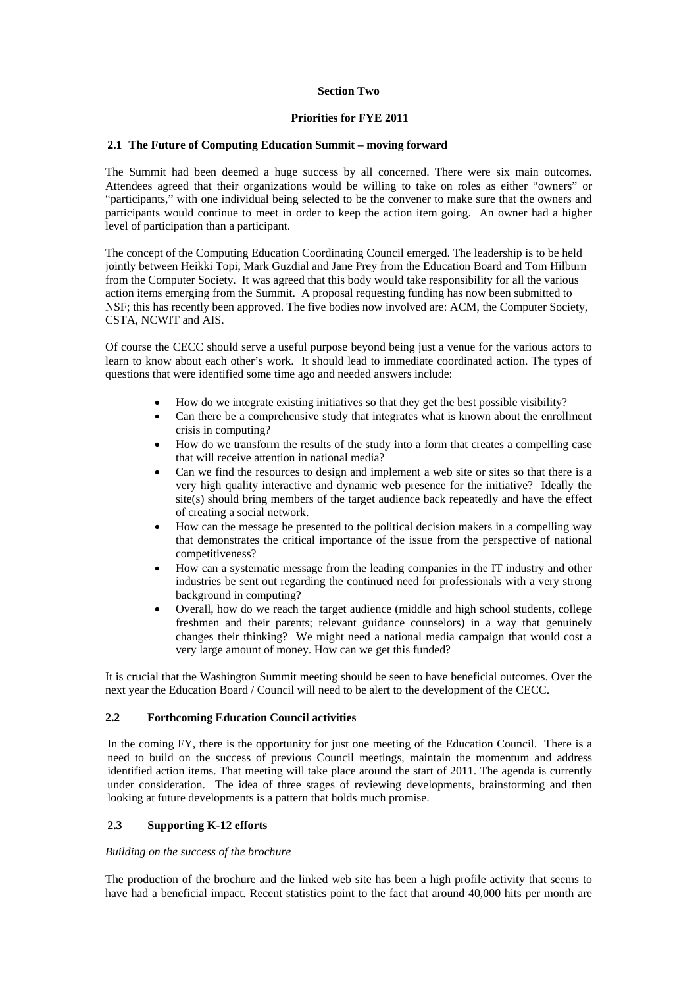## **Section Two**

## **Priorities for FYE 2011**

#### **2.1 The Future of Computing Education Summit – moving forward**

The Summit had been deemed a huge success by all concerned. There were six main outcomes. Attendees agreed that their organizations would be willing to take on roles as either "owners" or "participants," with one individual being selected to be the convener to make sure that the owners and participants would continue to meet in order to keep the action item going. An owner had a higher level of participation than a participant.

The concept of the Computing Education Coordinating Council emerged. The leadership is to be held jointly between Heikki Topi, Mark Guzdial and Jane Prey from the Education Board and Tom Hilburn from the Computer Society. It was agreed that this body would take responsibility for all the various action items emerging from the Summit. A proposal requesting funding has now been submitted to NSF; this has recently been approved. The five bodies now involved are: ACM, the Computer Society, CSTA, NCWIT and AIS.

Of course the CECC should serve a useful purpose beyond being just a venue for the various actors to learn to know about each other's work. It should lead to immediate coordinated action. The types of questions that were identified some time ago and needed answers include:

- How do we integrate existing initiatives so that they get the best possible visibility?
- Can there be a comprehensive study that integrates what is known about the enrollment crisis in computing?
- How do we transform the results of the study into a form that creates a compelling case that will receive attention in national media?
- Can we find the resources to design and implement a web site or sites so that there is a very high quality interactive and dynamic web presence for the initiative? Ideally the site(s) should bring members of the target audience back repeatedly and have the effect of creating a social network.
- How can the message be presented to the political decision makers in a compelling way that demonstrates the critical importance of the issue from the perspective of national competitiveness?
- How can a systematic message from the leading companies in the IT industry and other industries be sent out regarding the continued need for professionals with a very strong background in computing?
- Overall, how do we reach the target audience (middle and high school students, college freshmen and their parents; relevant guidance counselors) in a way that genuinely changes their thinking? We might need a national media campaign that would cost a very large amount of money. How can we get this funded?

It is crucial that the Washington Summit meeting should be seen to have beneficial outcomes. Over the next year the Education Board / Council will need to be alert to the development of the CECC.

## **2.2 Forthcoming Education Council activities**

In the coming FY, there is the opportunity for just one meeting of the Education Council. There is a need to build on the success of previous Council meetings, maintain the momentum and address identified action items. That meeting will take place around the start of 2011. The agenda is currently under consideration. The idea of three stages of reviewing developments, brainstorming and then looking at future developments is a pattern that holds much promise.

## **2.3 Supporting K-12 efforts**

#### *Building on the success of the brochure*

The production of the brochure and the linked web site has been a high profile activity that seems to have had a beneficial impact. Recent statistics point to the fact that around 40,000 hits per month are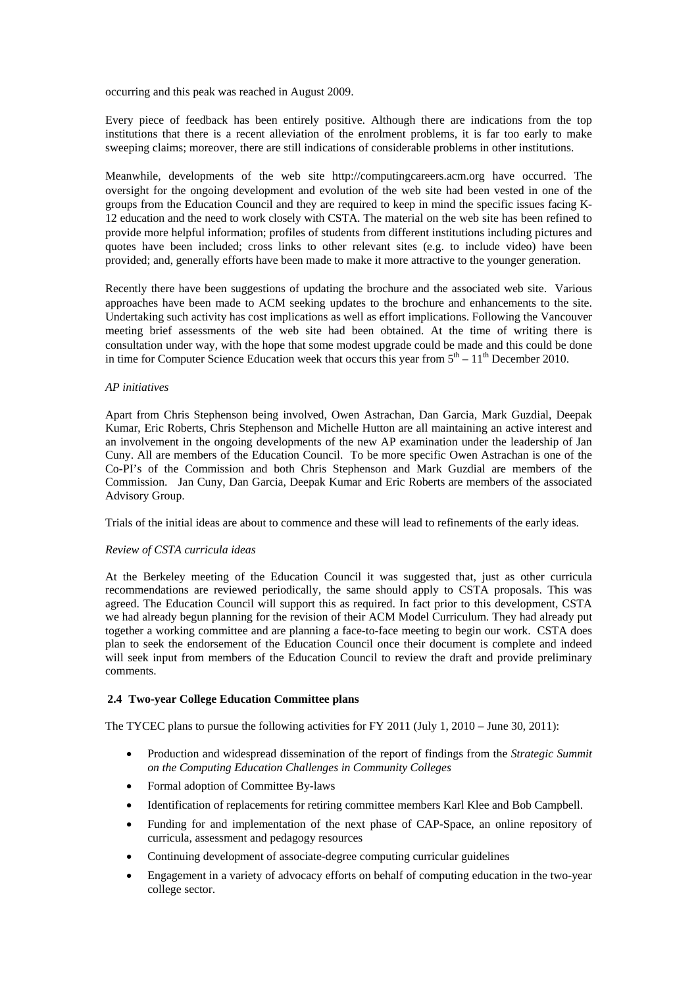occurring and this peak was reached in August 2009.

Every piece of feedback has been entirely positive. Although there are indications from the top institutions that there is a recent alleviation of the enrolment problems, it is far too early to make sweeping claims; moreover, there are still indications of considerable problems in other institutions.

Meanwhile, developments of the web site http://computingcareers.acm.org have occurred. The oversight for the ongoing development and evolution of the web site had been vested in one of the groups from the Education Council and they are required to keep in mind the specific issues facing K-12 education and the need to work closely with CSTA. The material on the web site has been refined to provide more helpful information; profiles of students from different institutions including pictures and quotes have been included; cross links to other relevant sites (e.g. to include video) have been provided; and, generally efforts have been made to make it more attractive to the younger generation.

Recently there have been suggestions of updating the brochure and the associated web site. Various approaches have been made to ACM seeking updates to the brochure and enhancements to the site. Undertaking such activity has cost implications as well as effort implications. Following the Vancouver meeting brief assessments of the web site had been obtained. At the time of writing there is consultation under way, with the hope that some modest upgrade could be made and this could be done in time for Computer Science Education week that occurs this year from  $5<sup>th</sup> - 11<sup>th</sup>$  December 2010.

## *AP initiatives*

Apart from Chris Stephenson being involved, Owen Astrachan, Dan Garcia, Mark Guzdial, Deepak Kumar, Eric Roberts, Chris Stephenson and Michelle Hutton are all maintaining an active interest and an involvement in the ongoing developments of the new AP examination under the leadership of Jan Cuny. All are members of the Education Council. To be more specific Owen Astrachan is one of the Co-PI's of the Commission and both Chris Stephenson and Mark Guzdial are members of the Commission. Jan Cuny, Dan Garcia, Deepak Kumar and Eric Roberts are members of the associated Advisory Group.

Trials of the initial ideas are about to commence and these will lead to refinements of the early ideas.

#### *Review of CSTA curricula ideas*

At the Berkeley meeting of the Education Council it was suggested that, just as other curricula recommendations are reviewed periodically, the same should apply to CSTA proposals. This was agreed. The Education Council will support this as required. In fact prior to this development, CSTA we had already begun planning for the revision of their ACM Model Curriculum. They had already put together a working committee and are planning a face-to-face meeting to begin our work. CSTA does plan to seek the endorsement of the Education Council once their document is complete and indeed will seek input from members of the Education Council to review the draft and provide preliminary comments.

#### **2.4 Two-year College Education Committee plans**

The TYCEC plans to pursue the following activities for FY 2011 (July 1, 2010 – June 30, 2011):

- Production and widespread dissemination of the report of findings from the *Strategic Summit on the Computing Education Challenges in Community Colleges*
- Formal adoption of Committee By-laws
- Identification of replacements for retiring committee members Karl Klee and Bob Campbell.
- Funding for and implementation of the next phase of CAP-Space, an online repository of curricula, assessment and pedagogy resources
- Continuing development of associate-degree computing curricular guidelines
- Engagement in a variety of advocacy efforts on behalf of computing education in the two-year college sector.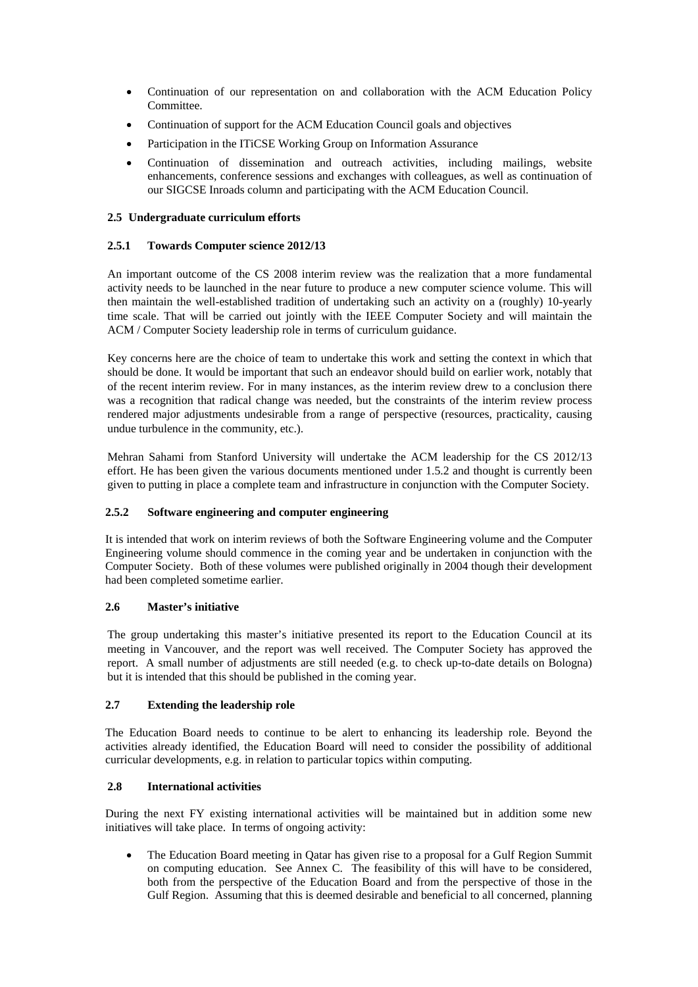- Continuation of our representation on and collaboration with the ACM Education Policy Committee.
- Continuation of support for the ACM Education Council goals and objectives
- Participation in the ITiCSE Working Group on Information Assurance
- Continuation of dissemination and outreach activities, including mailings, website enhancements, conference sessions and exchanges with colleagues, as well as continuation of our SIGCSE Inroads column and participating with the ACM Education Council.

# **2.5 Undergraduate curriculum efforts**

## **2.5.1 Towards Computer science 2012/13**

An important outcome of the CS 2008 interim review was the realization that a more fundamental activity needs to be launched in the near future to produce a new computer science volume. This will then maintain the well-established tradition of undertaking such an activity on a (roughly) 10-yearly time scale. That will be carried out jointly with the IEEE Computer Society and will maintain the ACM / Computer Society leadership role in terms of curriculum guidance.

Key concerns here are the choice of team to undertake this work and setting the context in which that should be done. It would be important that such an endeavor should build on earlier work, notably that of the recent interim review. For in many instances, as the interim review drew to a conclusion there was a recognition that radical change was needed, but the constraints of the interim review process rendered major adjustments undesirable from a range of perspective (resources, practicality, causing undue turbulence in the community, etc.).

Mehran Sahami from Stanford University will undertake the ACM leadership for the CS 2012/13 effort. He has been given the various documents mentioned under 1.5.2 and thought is currently been given to putting in place a complete team and infrastructure in conjunction with the Computer Society.

## **2.5.2 Software engineering and computer engineering**

It is intended that work on interim reviews of both the Software Engineering volume and the Computer Engineering volume should commence in the coming year and be undertaken in conjunction with the Computer Society. Both of these volumes were published originally in 2004 though their development had been completed sometime earlier.

## **2.6 Master's initiative**

The group undertaking this master's initiative presented its report to the Education Council at its meeting in Vancouver, and the report was well received. The Computer Society has approved the report. A small number of adjustments are still needed (e.g. to check up-to-date details on Bologna) but it is intended that this should be published in the coming year.

## **2.7 Extending the leadership role**

The Education Board needs to continue to be alert to enhancing its leadership role. Beyond the activities already identified, the Education Board will need to consider the possibility of additional curricular developments, e.g. in relation to particular topics within computing.

## **2.8 International activities**

During the next FY existing international activities will be maintained but in addition some new initiatives will take place. In terms of ongoing activity:

• The Education Board meeting in Qatar has given rise to a proposal for a Gulf Region Summit on computing education. See Annex C. The feasibility of this will have to be considered, both from the perspective of the Education Board and from the perspective of those in the Gulf Region. Assuming that this is deemed desirable and beneficial to all concerned, planning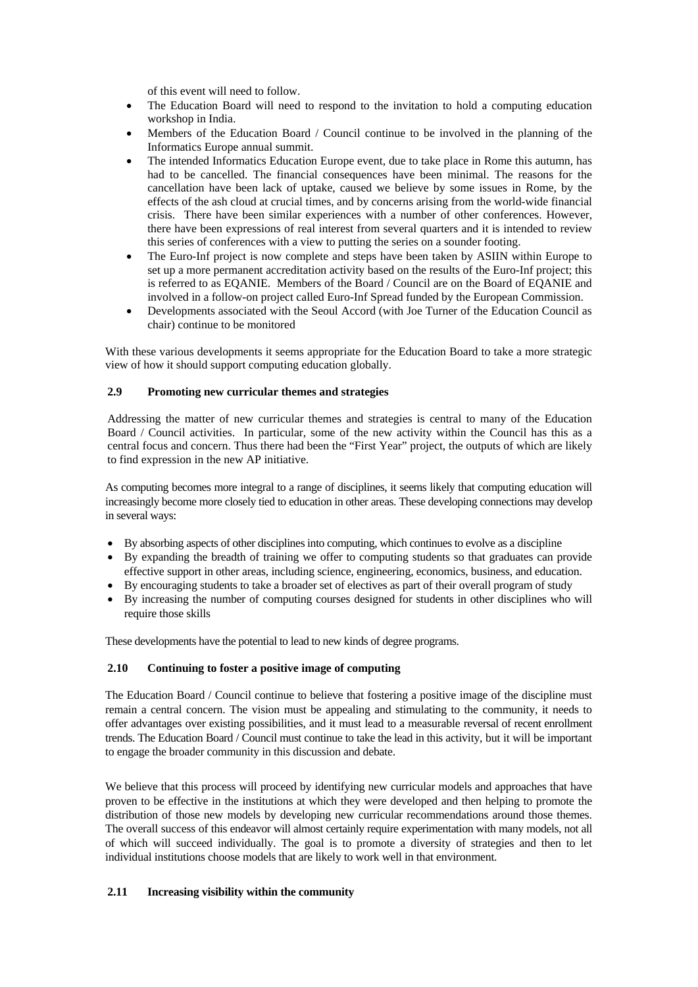of this event will need to follow.

- The Education Board will need to respond to the invitation to hold a computing education workshop in India.
- Members of the Education Board / Council continue to be involved in the planning of the Informatics Europe annual summit.
- The intended Informatics Education Europe event, due to take place in Rome this autumn, has had to be cancelled. The financial consequences have been minimal. The reasons for the cancellation have been lack of uptake, caused we believe by some issues in Rome, by the effects of the ash cloud at crucial times, and by concerns arising from the world-wide financial crisis. There have been similar experiences with a number of other conferences. However, there have been expressions of real interest from several quarters and it is intended to review this series of conferences with a view to putting the series on a sounder footing.
- The Euro-Inf project is now complete and steps have been taken by ASIIN within Europe to set up a more permanent accreditation activity based on the results of the Euro-Inf project; this is referred to as EQANIE. Members of the Board / Council are on the Board of EQANIE and involved in a follow-on project called Euro-Inf Spread funded by the European Commission.
- Developments associated with the Seoul Accord (with Joe Turner of the Education Council as chair) continue to be monitored

With these various developments it seems appropriate for the Education Board to take a more strategic view of how it should support computing education globally.

## **2.9 Promoting new curricular themes and strategies**

Addressing the matter of new curricular themes and strategies is central to many of the Education Board / Council activities. In particular, some of the new activity within the Council has this as a central focus and concern. Thus there had been the "First Year" project, the outputs of which are likely to find expression in the new AP initiative.

As computing becomes more integral to a range of disciplines, it seems likely that computing education will increasingly become more closely tied to education in other areas. These developing connections may develop in several ways:

- By absorbing aspects of other disciplines into computing, which continues to evolve as a discipline
- By expanding the breadth of training we offer to computing students so that graduates can provide effective support in other areas, including science, engineering, economics, business, and education.
- By encouraging students to take a broader set of electives as part of their overall program of study
- By increasing the number of computing courses designed for students in other disciplines who will require those skills

These developments have the potential to lead to new kinds of degree programs.

## **2.10 Continuing to foster a positive image of computing**

The Education Board / Council continue to believe that fostering a positive image of the discipline must remain a central concern. The vision must be appealing and stimulating to the community, it needs to offer advantages over existing possibilities, and it must lead to a measurable reversal of recent enrollment trends. The Education Board / Council must continue to take the lead in this activity, but it will be important to engage the broader community in this discussion and debate.

We believe that this process will proceed by identifying new curricular models and approaches that have proven to be effective in the institutions at which they were developed and then helping to promote the distribution of those new models by developing new curricular recommendations around those themes. The overall success of this endeavor will almost certainly require experimentation with many models, not all of which will succeed individually. The goal is to promote a diversity of strategies and then to let individual institutions choose models that are likely to work well in that environment.

## **2.11 Increasing visibility within the community**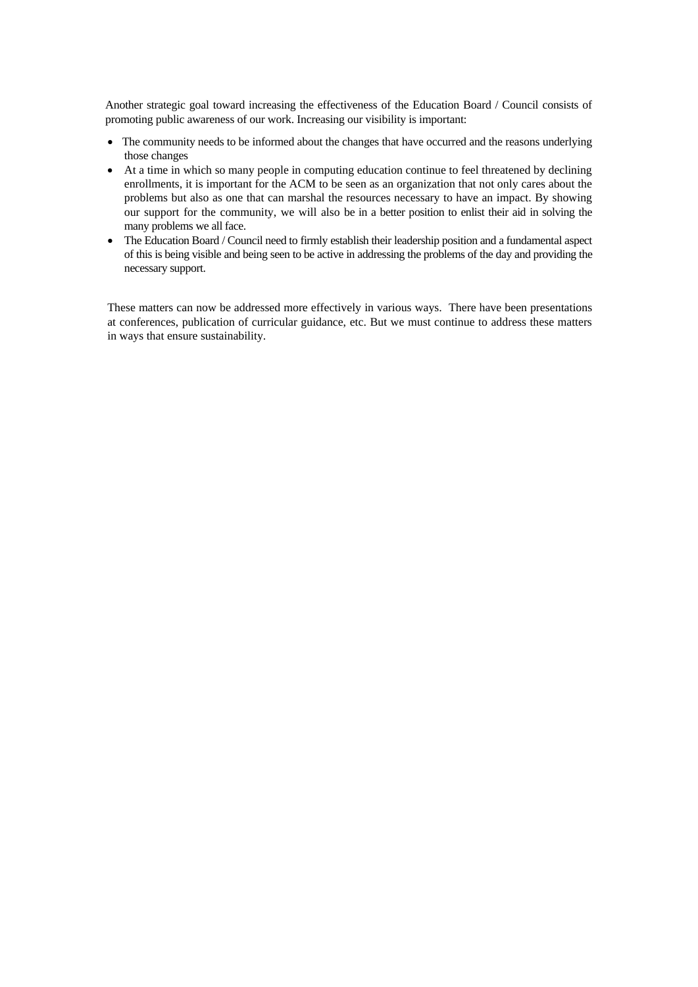Another strategic goal toward increasing the effectiveness of the Education Board / Council consists of promoting public awareness of our work. Increasing our visibility is important:

- The community needs to be informed about the changes that have occurred and the reasons underlying those changes
- At a time in which so many people in computing education continue to feel threatened by declining enrollments, it is important for the ACM to be seen as an organization that not only cares about the problems but also as one that can marshal the resources necessary to have an impact. By showing our support for the community, we will also be in a better position to enlist their aid in solving the many problems we all face.
- The Education Board / Council need to firmly establish their leadership position and a fundamental aspect of this is being visible and being seen to be active in addressing the problems of the day and providing the necessary support.

These matters can now be addressed more effectively in various ways. There have been presentations at conferences, publication of curricular guidance, etc. But we must continue to address these matters in ways that ensure sustainability.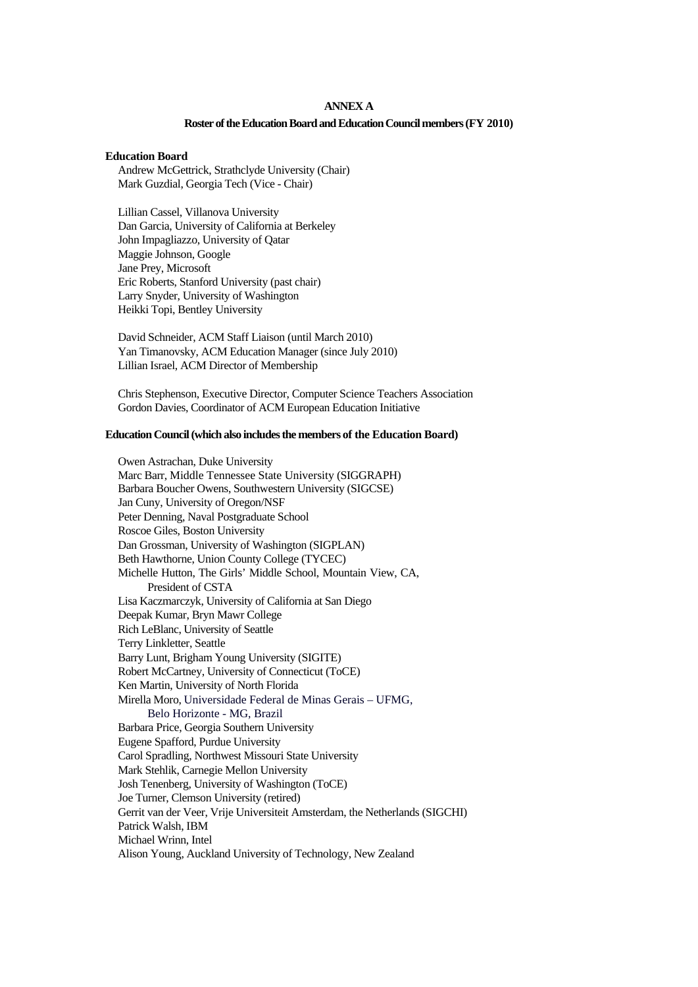#### **ANNEX A**

#### **Roster of the Education Board and Education Council members (FY 2010)**

#### **Education Board**

Andrew McGettrick, Strathclyde University (Chair) Mark Guzdial, Georgia Tech (Vice - Chair)

Lillian Cassel, Villanova University Dan Garcia, University of California at Berkeley John Impagliazzo, University of Qatar Maggie Johnson, Google Jane Prey, Microsoft Eric Roberts, Stanford University (past chair) Larry Snyder, University of Washington Heikki Topi, Bentley University

David Schneider, ACM Staff Liaison (until March 2010) Yan Timanovsky, ACM Education Manager (since July 2010) Lillian Israel, ACM Director of Membership

Chris Stephenson, Executive Director, Computer Science Teachers Association Gordon Davies, Coordinator of ACM European Education Initiative

## **Education Council (which also includes the members of the Education Board)**

Owen Astrachan, Duke University Marc Barr, Middle Tennessee State University (SIGGRAPH) Barbara Boucher Owens, Southwestern University (SIGCSE) Jan Cuny, University of Oregon/NSF Peter Denning, Naval Postgraduate School Roscoe Giles, Boston University Dan Grossman, University of Washington (SIGPLAN) Beth Hawthorne, Union County College (TYCEC) Michelle Hutton, The Girls' Middle School, Mountain View, CA, President of CSTA Lisa Kaczmarczyk, University of California at San Diego Deepak Kumar, Bryn Mawr College Rich LeBlanc, University of Seattle Terry Linkletter, Seattle Barry Lunt, Brigham Young University (SIGITE) Robert McCartney, University of Connecticut (ToCE) Ken Martin, University of North Florida Mirella Moro, Universidade Federal de Minas Gerais – UFMG, Belo Horizonte - MG, Brazil Barbara Price, Georgia Southern University Eugene Spafford, Purdue University Carol Spradling, Northwest Missouri State University Mark Stehlik, Carnegie Mellon University Josh Tenenberg, University of Washington (ToCE) Joe Turner, Clemson University (retired) Gerrit van der Veer, Vrije Universiteit Amsterdam, the Netherlands (SIGCHI) Patrick Walsh, IBM Michael Wrinn, Intel Alison Young, Auckland University of Technology, New Zealand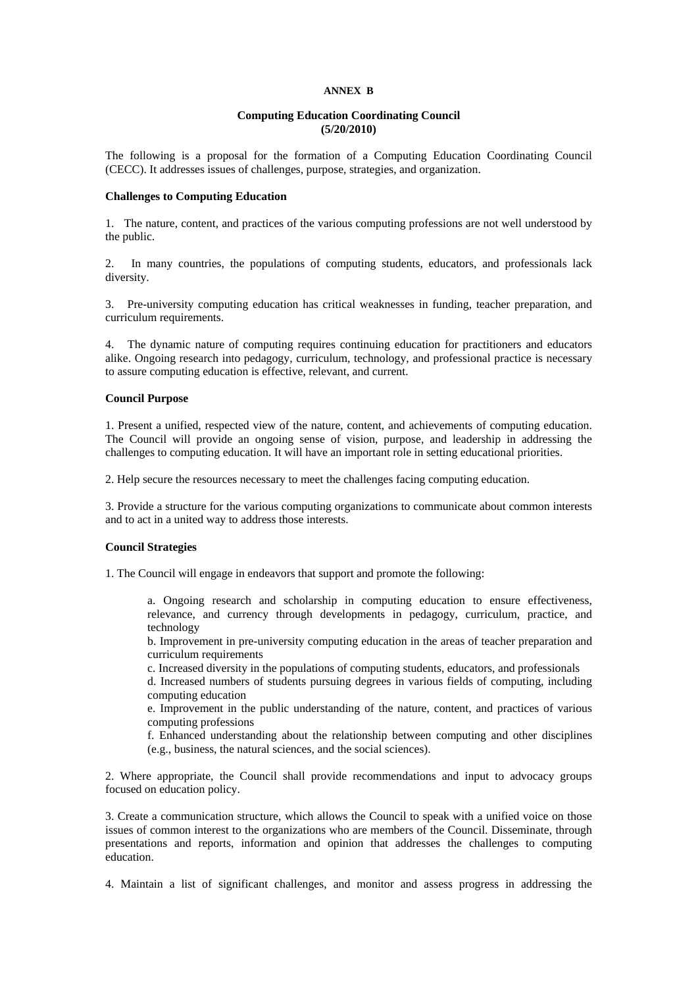#### **ANNEX B**

#### **Computing Education Coordinating Council (5/20/2010)**

The following is a proposal for the formation of a Computing Education Coordinating Council (CECC). It addresses issues of challenges, purpose, strategies, and organization.

#### **Challenges to Computing Education**

1. The nature, content, and practices of the various computing professions are not well understood by the public.

2. In many countries, the populations of computing students, educators, and professionals lack diversity.

3. Pre-university computing education has critical weaknesses in funding, teacher preparation, and curriculum requirements.

4. The dynamic nature of computing requires continuing education for practitioners and educators alike. Ongoing research into pedagogy, curriculum, technology, and professional practice is necessary to assure computing education is effective, relevant, and current.

## **Council Purpose**

1. Present a unified, respected view of the nature, content, and achievements of computing education. The Council will provide an ongoing sense of vision, purpose, and leadership in addressing the challenges to computing education. It will have an important role in setting educational priorities.

2. Help secure the resources necessary to meet the challenges facing computing education.

3. Provide a structure for the various computing organizations to communicate about common interests and to act in a united way to address those interests.

#### **Council Strategies**

1. The Council will engage in endeavors that support and promote the following:

a. Ongoing research and scholarship in computing education to ensure effectiveness, relevance, and currency through developments in pedagogy, curriculum, practice, and technology

b. Improvement in pre-university computing education in the areas of teacher preparation and curriculum requirements

c. Increased diversity in the populations of computing students, educators, and professionals

d. Increased numbers of students pursuing degrees in various fields of computing, including computing education

e. Improvement in the public understanding of the nature, content, and practices of various computing professions

f. Enhanced understanding about the relationship between computing and other disciplines (e.g., business, the natural sciences, and the social sciences).

2. Where appropriate, the Council shall provide recommendations and input to advocacy groups focused on education policy.

3. Create a communication structure, which allows the Council to speak with a unified voice on those issues of common interest to the organizations who are members of the Council. Disseminate, through presentations and reports, information and opinion that addresses the challenges to computing education.

4. Maintain a list of significant challenges, and monitor and assess progress in addressing the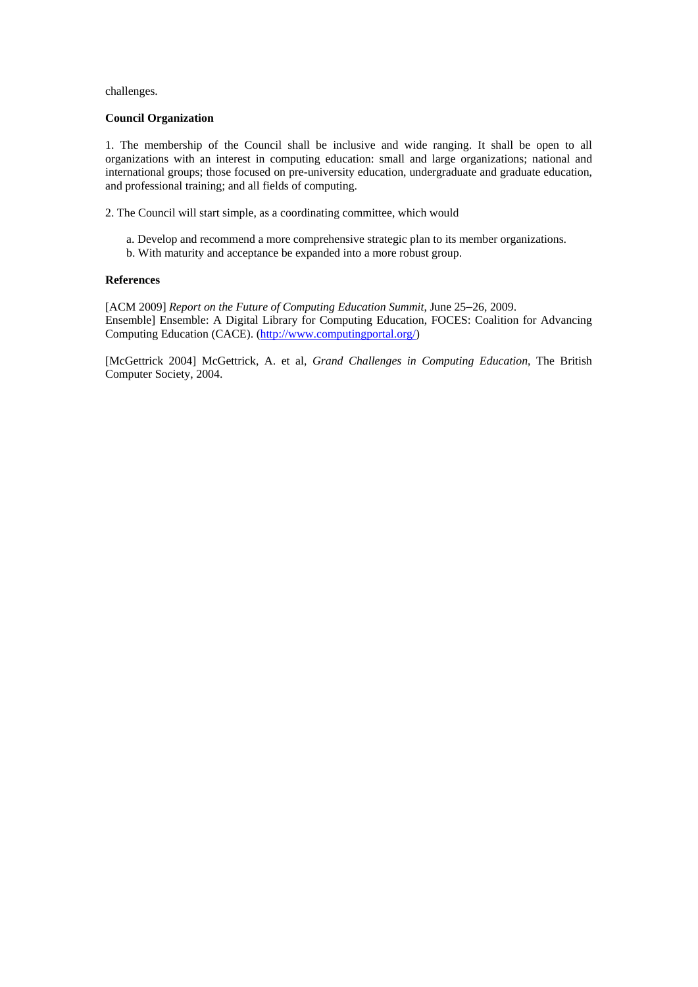challenges.

## **Council Organization**

1. The membership of the Council shall be inclusive and wide ranging. It shall be open to all organizations with an interest in computing education: small and large organizations; national and international groups; those focused on pre-university education, undergraduate and graduate education, and professional training; and all fields of computing.

- 2. The Council will start simple, as a coordinating committee, which would
	- a. Develop and recommend a more comprehensive strategic plan to its member organizations.
	- b. With maturity and acceptance be expanded into a more robust group.

## **References**

[ACM 2009] *Report on the Future of Computing Education Summit*, June 25–26, 2009. Ensemble] Ensemble: A Digital Library for Computing Education, FOCES: Coalition for Advancing Computing Education (CACE). (http://www.computingportal.org/)

[McGettrick 2004] McGettrick, A. et al, *Grand Challenges in Computing Education*, The British Computer Society, 2004.